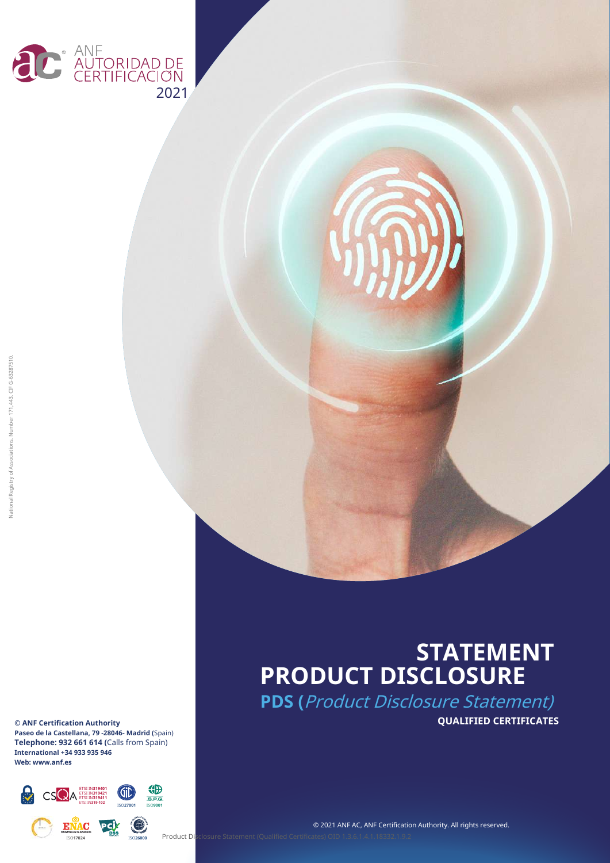

**© ANF Certification Authority Paseo de la Castellana, 79 -28046- Madrid (**Spain) **Telephone: 932 661 614 (**Calls from Spain) **International +34 933 935 946 Web: www.anf.es**



### **STATEMENT PRODUCT DISCLOSURE**

**PDS (**Product Disclosure Statement) **QUALIFIED CERTIFICATES**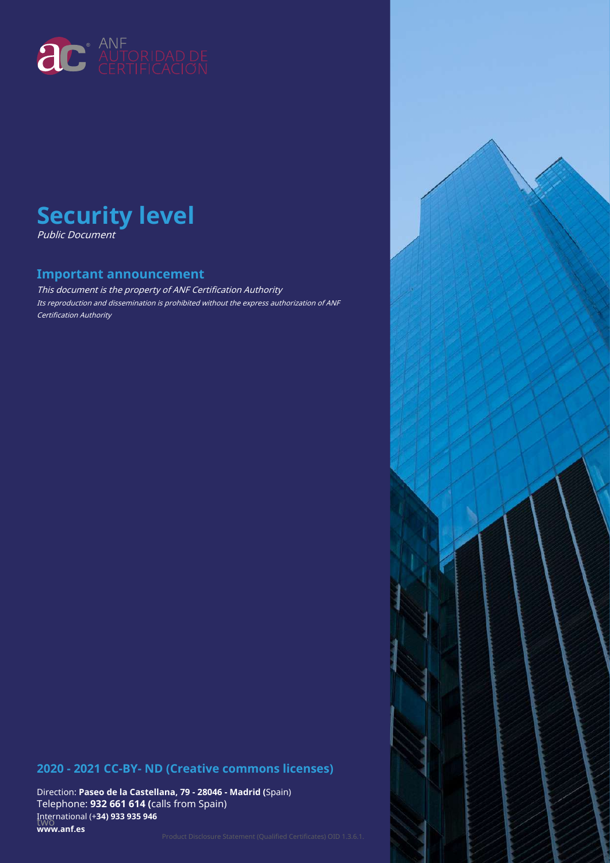

### **Security level** Public Document

### **Important announcement**

This document is the property of ANF Certification Authority Its reproduction and dissemination is prohibited without the express authorization of ANF Certification Authority

### **2020 - 2021 CC-BY- ND (Creative commons licenses)**

Direction: **Paseo de la Castellana, 79 - 28046 - Madrid (**Spain) Telephone: **932 661 614 (**calls from Spain) two International (+**34) 933 935 946 www.anf.es**

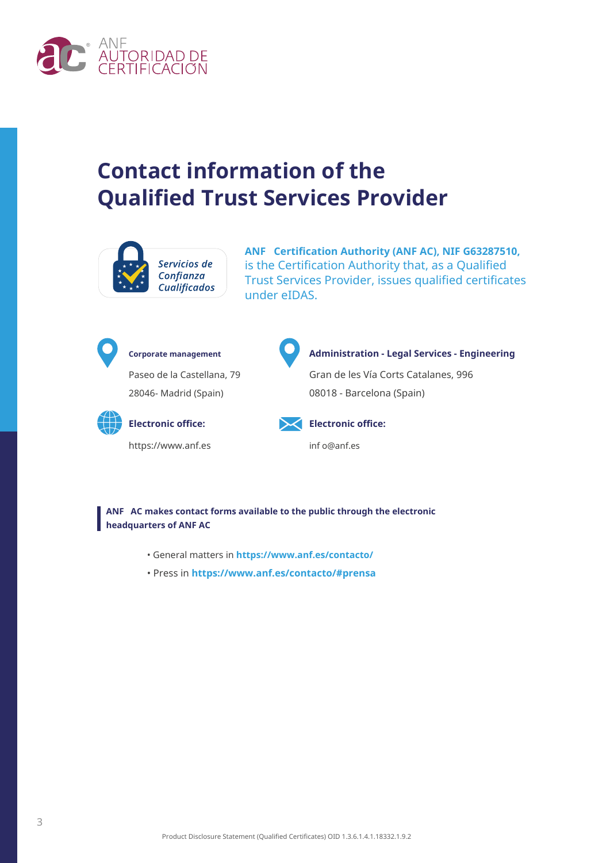

### **Contact information of the Qualified Trust Services Provider**



**ANF Certification Authority (ANF AC), NIF G63287510,** is the Certification Authority that, as a Qualified Trust Services Provider, issues qualified certificates under eIDAS.



Paseo de la Castellana, 79 28046- Madrid (Spain)



https://www.anf.es inf o@anf.es



#### **Corporate management Administration - Legal Services - Engineering**

Gran de les Vía Corts Catalanes, 996 08018 - Barcelona (Spain)



**Electronic office: Electronic office:**

**ANF AC makes contact forms available to the public through the electronic headquarters of ANF AC**

- General matters in **https://www.anf.es/contacto/**
- Press in **https://www.anf.es/contacto/#prensa**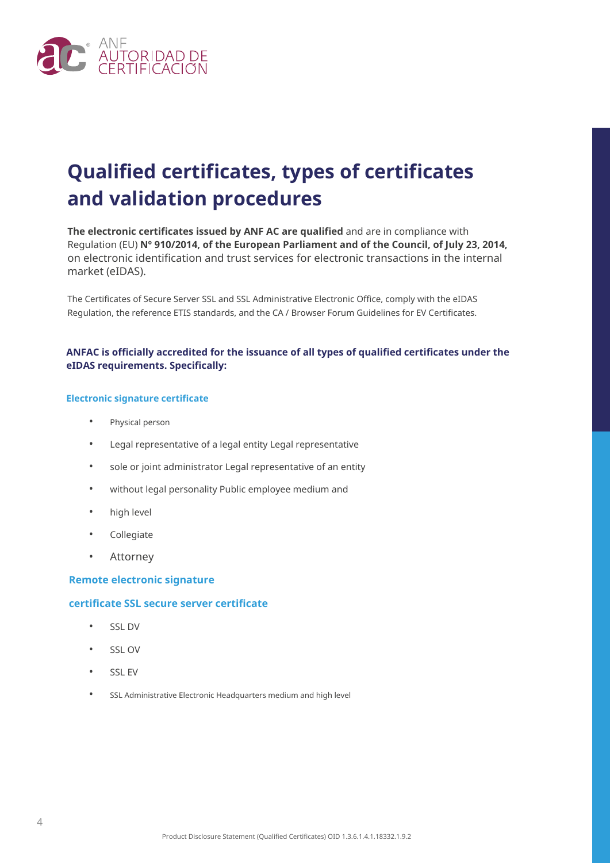

### **Qualified certificates, types of certificates and validation procedures**

**The electronic certificates issued by ANF AC are qualified** and are in compliance with Regulation (EU) **Nº 910/2014, of the European Parliament and of the Council, of July 23, 2014,** on electronic identification and trust services for electronic transactions in the internal market (eIDAS).

The Certificates of Secure Server SSL and SSL Administrative Electronic Office, comply with the eIDAS Regulation, the reference ETIS standards, and the CA / Browser Forum Guidelines for EV Certificates.

### **ANFAC is officially accredited for the issuance of all types of qualified certificates under the eIDAS requirements. Specifically:**

#### **Electronic signature certificate**

- Physical person
- Legal representative of a legal entity Legal representative
- sole or joint administrator Legal representative of an entity
- without legal personality Public employee medium and
- high level
- Collegiate
- Attorney

#### **Remote electronic signature**

#### **certificate SSL secure server certificate**

- SSL DV
- SSL OV
- SSL EV
- SSL Administrative Electronic Headquarters medium and high level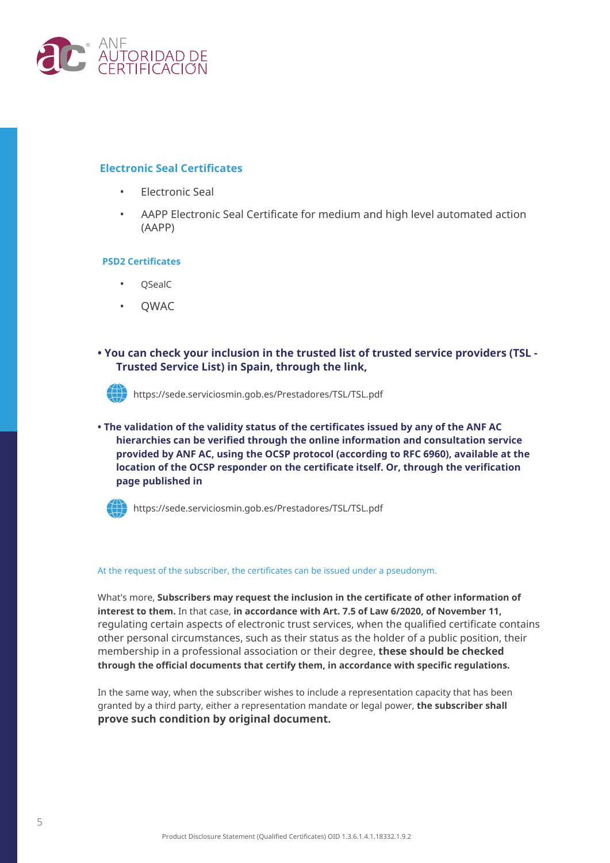

### **Electronic Seal Certificates**

- Electronic Seal
- AAPP Electronic Seal Certificate for medium and high level automated action (AAPP)

#### **PSD2 Certificates**

- QSealC
- QWAC
- **You can check your inclusion in the trusted list of trusted service providers (TSL Trusted Service List) in Spain, through the link,**



https://sede.serviciosmin.gob.es/Prestadores/TSL/TSL.pdf

**• The validation of the validity status of the certificates issued by any of the ANF AC hierarchies can be verified through the online information and consultation service provided by ANF AC, using the OCSP protocol (according to RFC 6960), available at the location of the OCSP responder on the certificate itself. Or, through the verification page published in**



https://sede.serviciosmin.gob.es/Prestadores/TSL/TSL.pdf

#### At the request of the subscriber, the certificates can be issued under a pseudonym.

What's more, **Subscribers may request the inclusion in the certificate of other information of interest to them.** In that case, **in accordance with Art. 7.5 of Law 6/2020, of November 11,** regulating certain aspects of electronic trust services, when the qualified certificate contains other personal circumstances, such as their status as the holder of a public position, their membership in a professional association or their degree, **these should be checked through the official documents that certify them, in accordance with specific regulations.**

In the same way, when the subscriber wishes to include a representation capacity that has been granted by a third party, either a representation mandate or legal power, **the subscriber shall prove such condition by original document.**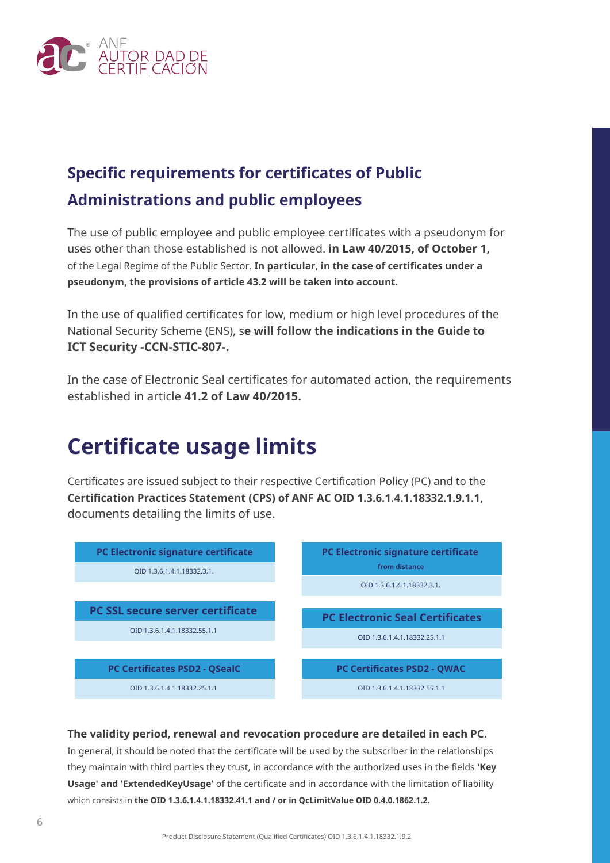

### **Specific requirements for certificates of Public Administrations and public employees**

The use of public employee and public employee certificates with a pseudonym for uses other than those established is not allowed. **in Law 40/2015, of October 1,** of the Legal Regime of the Public Sector. **In particular, in the case of certificates under a pseudonym, the provisions of article 43.2 will be taken into account.**

In the use of qualified certificates for low, medium or high level procedures of the National Security Scheme (ENS), s**e will follow the indications in the Guide to ICT Security -CCN-STIC-807-.**

In the case of Electronic Seal certificates for automated action, the requirements established in article **41.2 of Law 40/2015.**

### **Certificate usage limits**

Certificates are issued subject to their respective Certification Policy (PC) and to the **Certification Practices Statement (CPS) of ANF AC OID 1.3.6.1.4.1.18332.1.9.1.1,** documents detailing the limits of use.



### **The validity period, renewal and revocation procedure are detailed in each PC.**

In general, it should be noted that the certificate will be used by the subscriber in the relationships they maintain with third parties they trust, in accordance with the authorized uses in the fields **'Key Usage' and 'ExtendedKeyUsage'** of the certificate and in accordance with the limitation of liability which consists in **the OID 1.3.6.1.4.1.18332.41.1 and / or in QcLimitValue OID 0.4.0.1862.1.2.**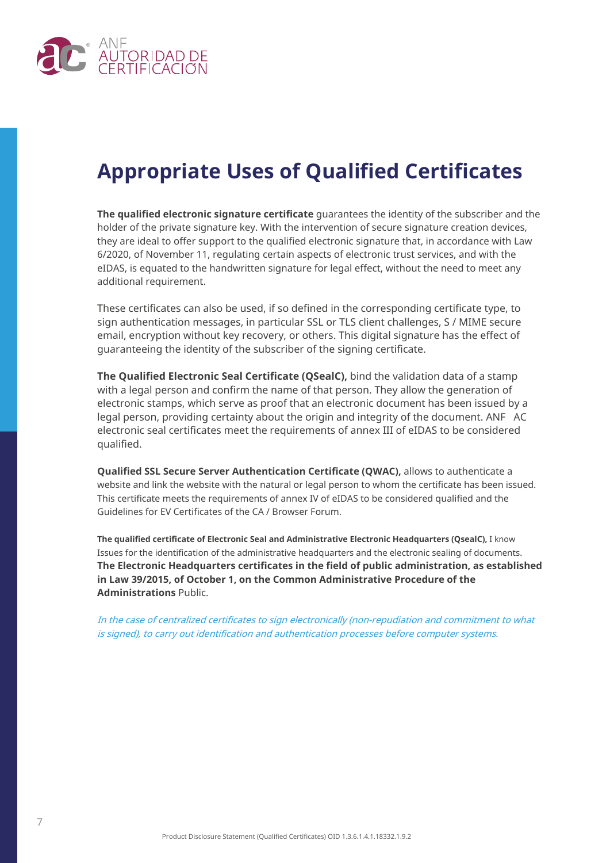

### **Appropriate Uses of Qualified Certificates**

**The qualified electronic signature certificate** guarantees the identity of the subscriber and the holder of the private signature key. With the intervention of secure signature creation devices, they are ideal to offer support to the qualified electronic signature that, in accordance with Law 6/2020, of November 11, regulating certain aspects of electronic trust services, and with the eIDAS, is equated to the handwritten signature for legal effect, without the need to meet any additional requirement.

These certificates can also be used, if so defined in the corresponding certificate type, to sign authentication messages, in particular SSL or TLS client challenges, S / MIME secure email, encryption without key recovery, or others. This digital signature has the effect of guaranteeing the identity of the subscriber of the signing certificate.

**The Qualified Electronic Seal Certificate (QSealC),** bind the validation data of a stamp with a legal person and confirm the name of that person. They allow the generation of electronic stamps, which serve as proof that an electronic document has been issued by a legal person, providing certainty about the origin and integrity of the document. ANF AC electronic seal certificates meet the requirements of annex III of eIDAS to be considered qualified.

**Qualified SSL Secure Server Authentication Certificate (QWAC),** allows to authenticate a website and link the website with the natural or legal person to whom the certificate has been issued. This certificate meets the requirements of annex IV of eIDAS to be considered qualified and the Guidelines for EV Certificates of the CA / Browser Forum.

**The qualified certificate of Electronic Seal and Administrative Electronic Headquarters (QsealC),** I know Issues for the identification of the administrative headquarters and the electronic sealing of documents. **The Electronic Headquarters certificates in the field of public administration, as established in Law 39/2015, of October 1, on the Common Administrative Procedure of the Administrations** Public.

In the case of centralized certificates to sign electronically (non-repudiation and commitment to what is signed), to carry out identification and authentication processes before computer systems.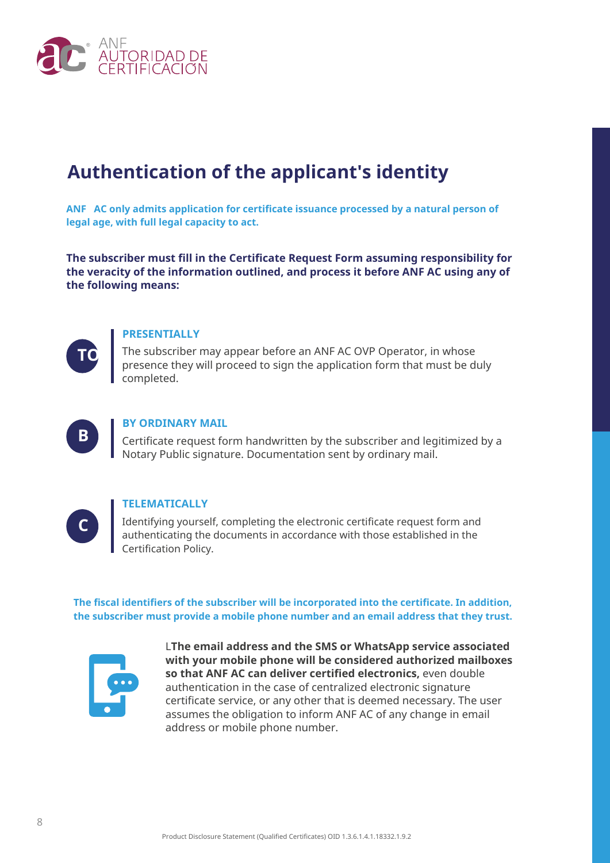

### **Authentication of the applicant's identity**

**ANF AC only admits application for certificate issuance processed by a natural person of legal age, with full legal capacity to act.**

**The subscriber must fill in the Certificate Request Form assuming responsibility for the veracity of the information outlined, and process it before ANF AC using any of the following means:**



### **PRESENTIALLY**

TO The subscriber may appear before an ANF AC OVP Operator, in whose presence they will proceed to sign the application form that must be duly completed.



### **BY ORDINARY MAIL**

Certificate request form handwritten by the subscriber and legitimized by a Notary Public signature. Documentation sent by ordinary mail.



### **TELEMATICALLY**

Identifying yourself, completing the electronic certificate request form and authenticating the documents in accordance with those established in the Certification Policy.

**The fiscal identifiers of the subscriber will be incorporated into the certificate. In addition, the subscriber must provide a mobile phone number and an email address that they trust.**



L**The email address and the SMS or WhatsApp service associated with your mobile phone will be considered authorized mailboxes so that ANF AC can deliver certified electronics,** even double authentication in the case of centralized electronic signature certificate service, or any other that is deemed necessary. The user assumes the obligation to inform ANF AC of any change in email address or mobile phone number.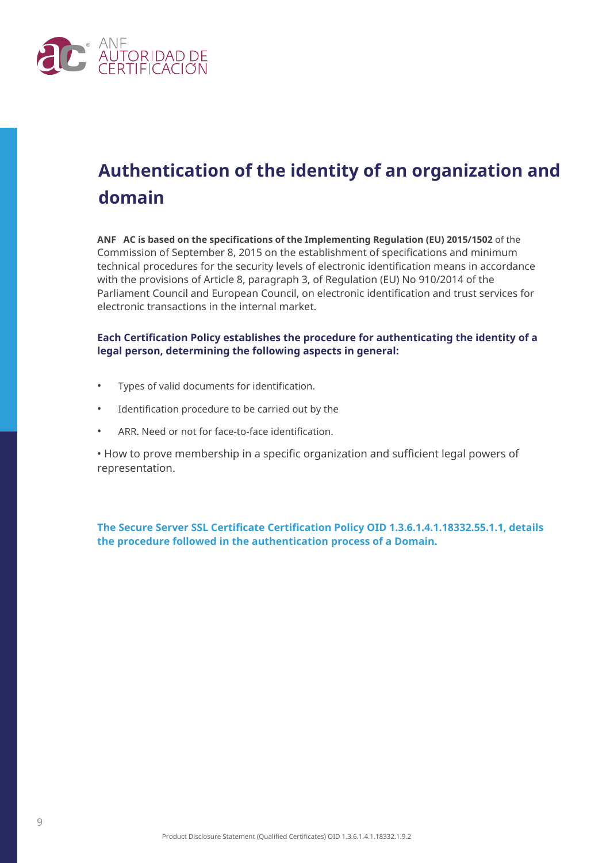

### **Authentication of the identity of an organization and domain**

**ANF AC is based on the specifications of the Implementing Regulation (EU) 2015/1502** of the Commission of September 8, 2015 on the establishment of specifications and minimum technical procedures for the security levels of electronic identification means in accordance with the provisions of Article 8, paragraph 3, of Regulation (EU) No 910/2014 of the Parliament Council and European Council, on electronic identification and trust services for electronic transactions in the internal market.

### **Each Certification Policy establishes the procedure for authenticating the identity of a legal person, determining the following aspects in general:**

- Types of valid documents for identification.
- Identification procedure to be carried out by the
- ARR. Need or not for face-to-face identification.

• How to prove membership in a specific organization and sufficient legal powers of representation.

**The Secure Server SSL Certificate Certification Policy OID 1.3.6.1.4.1.18332.55.1.1, details the procedure followed in the authentication process of a Domain.**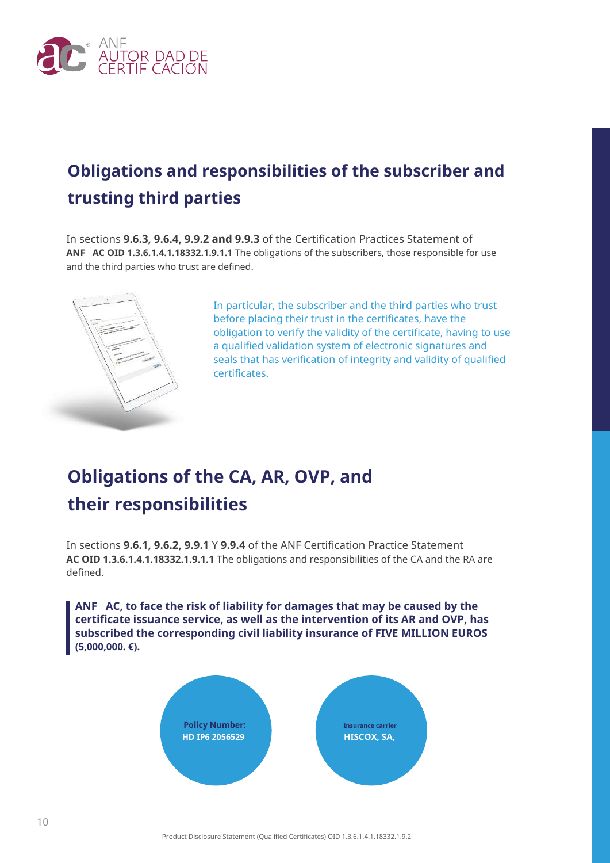

### **Obligations and responsibilities of the subscriber and trusting third parties**

In sections **9.6.3, 9.6.4, 9.9.2 and 9.9.3** of the Certification Practices Statement of **ANF AC OID 1.3.6.1.4.1.18332.1.9.1.1** The obligations of the subscribers, those responsible for use and the third parties who trust are defined.



In particular, the subscriber and the third parties who trust before placing their trust in the certificates, have the obligation to verify the validity of the certificate, having to use a qualified validation system of electronic signatures and seals that has verification of integrity and validity of qualified certificates.

### **Obligations of the CA, AR, OVP, and their responsibilities**

In sections **9.6.1, 9.6.2, 9.9.1** Y **9.9.4** of the ANF Certification Practice Statement **AC OID 1.3.6.1.4.1.18332.1.9.1.1** The obligations and responsibilities of the CA and the RA are defined.

**ANF AC, to face the risk of liability for damages that may be caused by the certificate issuance service, as well as the intervention of its AR and OVP, has subscribed the corresponding civil liability insurance of FIVE MILLION EUROS (5,000,000. €).**

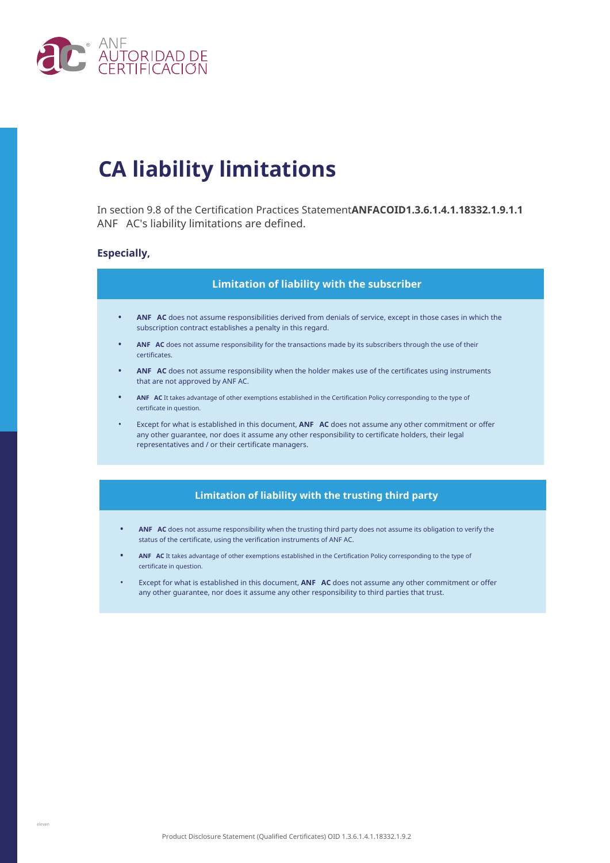

### **CA liability limitations**

In section 9.8 of the Certification Practices Statement**ANFACOID1.3.6.1.4.1.18332.1.9.1.1** ANF AC's liability limitations are defined.

#### **Especially,**

#### **Limitation of liability with the subscriber**

- **• ANF AC** does not assume responsibilities derived from denials of service, except in those cases in which the subscription contract establishes a penalty in this regard.
- **• ANF AC** does not assume responsibility for the transactions made by its subscribers through the use of their certificates.
- **ANF AC** does not assume responsibility when the holder makes use of the certificates using instruments that are not approved by ANF AC.
- **• ANF AC** It takes advantage of other exemptions established in the Certification Policy corresponding to the type of certificate in question.
- Except for what is established in this document, **ANF AC** does not assume any other commitment or offer any other guarantee, nor does it assume any other responsibility to certificate holders, their legal representatives and / or their certificate managers.

#### **Limitation of liability with the trusting third party**

- **• ANF AC** does not assume responsibility when the trusting third party does not assume its obligation to verify the status of the certificate, using the verification instruments of ANF AC.
- **• ANF AC** It takes advantage of other exemptions established in the Certification Policy corresponding to the type of certificate in question.
- Except for what is established in this document, **ANF AC** does not assume any other commitment or offer any other guarantee, nor does it assume any other responsibility to third parties that trust.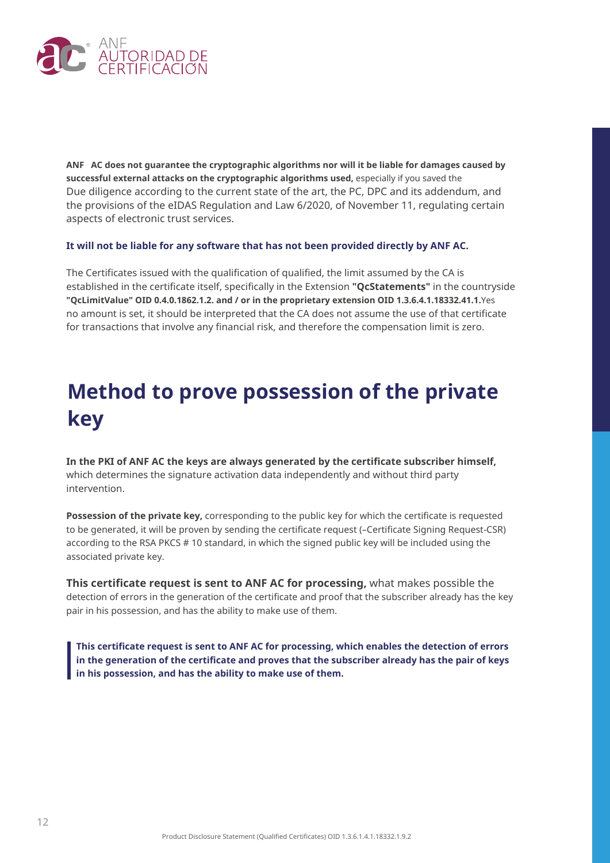

**ANF AC does not guarantee the cryptographic algorithms nor will it be liable for damages caused by successful external attacks on the cryptographic algorithms used,** especially if you saved the Due diligence according to the current state of the art, the PC, DPC and its addendum, and the provisions of the eIDAS Regulation and Law 6/2020, of November 11, regulating certain aspects of electronic trust services.

#### **It will not be liable for any software that has not been provided directly by ANF AC.**

The Certificates issued with the qualification of qualified, the limit assumed by the CA is established in the certificate itself, specifically in the Extension **"QcStatements"** in the countryside **"QcLimitValue" OID 0.4.0.1862.1.2. and / or in the proprietary extension OID 1.3.6.4.1.18332.41.1.**Yes no amount is set, it should be interpreted that the CA does not assume the use of that certificate for transactions that involve any financial risk, and therefore the compensation limit is zero.

### **Method to prove possession of the private key**

**In the PKI of ANF AC the keys are always generated by the certificate subscriber himself,** which determines the signature activation data independently and without third party intervention.

**Possession of the private key,** corresponding to the public key for which the certificate is requested to be generated, it will be proven by sending the certificate request (–Certificate Signing Request-CSR) according to the RSA PKCS # 10 standard, in which the signed public key will be included using the associated private key.

**This certificate request is sent to ANF AC for processing,** what makes possible the detection of errors in the generation of the certificate and proof that the subscriber already has the key pair in his possession, and has the ability to make use of them.

**This certificate request is sent to ANF AC for processing, which enables the detection of errors in the generation of the certificate and proves that the subscriber already has the pair of keys in his possession, and has the ability to make use of them.**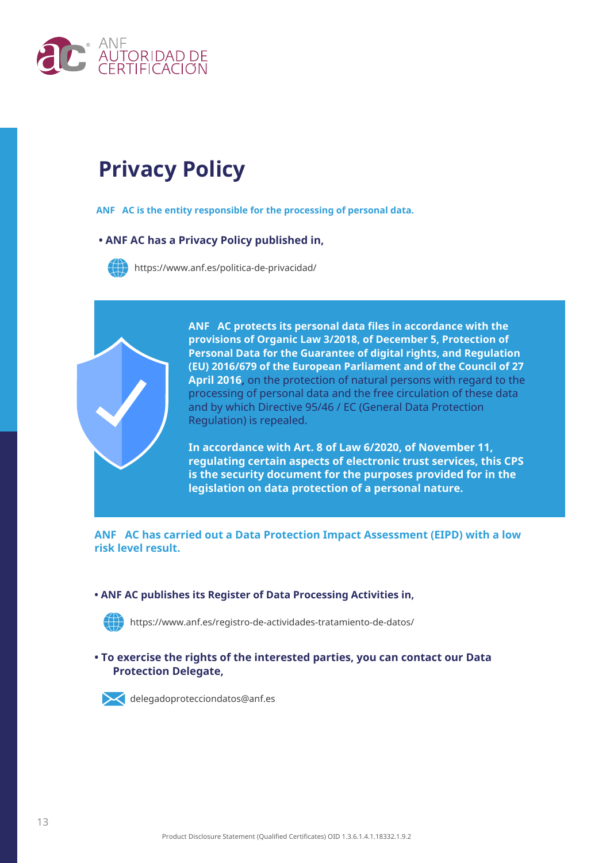

### **Privacy Policy**

**ANF AC is the entity responsible for the processing of personal data.**

### **• ANF AC has a Privacy Policy published in,**



https://www.anf.es/politica-de-privacidad/



**ANF AC protects its personal data files in accordance with the provisions of Organic Law 3/2018, of December 5, Protection of Personal Data for the Guarantee of digital rights, and Regulation (EU) 2016/679 of the European Parliament and of the Council of 27 April 2016,** on the protection of natural persons with regard to the processing of personal data and the free circulation of these data and by which Directive 95/46 / EC (General Data Protection Regulation) is repealed.

**In accordance with Art. 8 of Law 6/2020, of November 11, regulating certain aspects of electronic trust services, this CPS is the security document for the purposes provided for in the legislation on data protection of a personal nature.**

**ANF AC has carried out a Data Protection Impact Assessment (EIPD) with a low risk level result.**

#### **• ANF AC publishes its Register of Data Processing Activities in,**



https://www.anf.es/registro-de-actividades-tratamiento-de-datos/

### **• To exercise the rights of the interested parties, you can contact our Data Protection Delegate,**



delegadoprotecciondatos@anf.es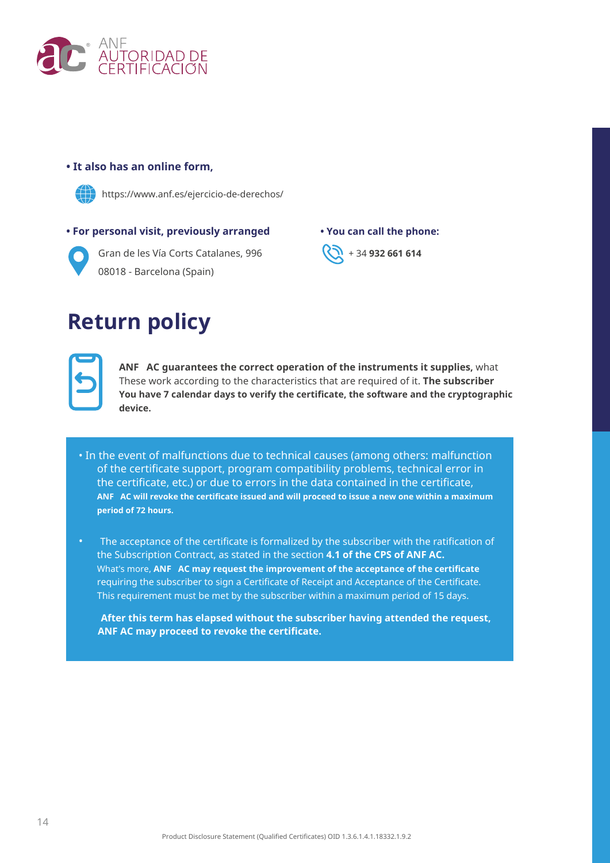

### **• It also has an online form,**



https://www.anf.es/ejercicio-de-derechos/

### **• For personal visit, previously arranged • You can call the phone:**



Gran de les Vía Corts Catalanes, 996 **(20 + 34 932 661 614**) 08018 - Barcelona (Spain)

### **Return policy**

**ANF AC guarantees the correct operation of the instruments it supplies,** what These work according to the characteristics that are required of it. **The subscriber You have 7 calendar days to verify the certificate, the software and the cryptographic device.**

- In the event of malfunctions due to technical causes (among others: malfunction of the certificate support, program compatibility problems, technical error in the certificate, etc.) or due to errors in the data contained in the certificate, **ANF AC will revoke the certificate issued and will proceed to issue a new one within a maximum period of 72 hours.**
- The acceptance of the certificate is formalized by the subscriber with the ratification of the Subscription Contract, as stated in the section **4.1 of the CPS of ANF AC.** What's more, **ANF AC may request the improvement of the acceptance of the certificate** requiring the subscriber to sign a Certificate of Receipt and Acceptance of the Certificate. This requirement must be met by the subscriber within a maximum period of 15 days.

**After this term has elapsed without the subscriber having attended the request, ANF AC may proceed to revoke the certificate.**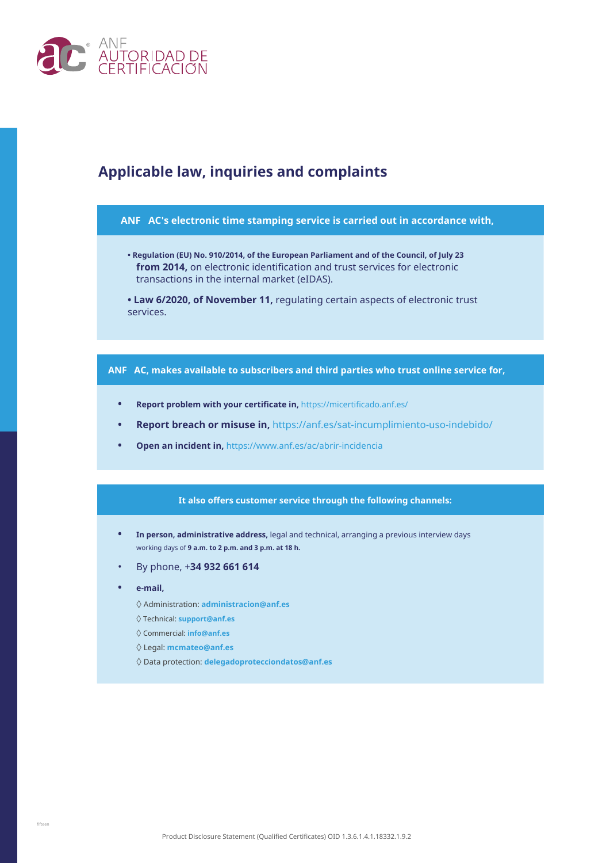

### **Applicable law, inquiries and complaints**

#### **ANF AC's electronic time stamping service is carried out in accordance with,**

- **Regulation (EU) No. 910/2014, of the European Parliament and of the Council, of July 23 from 2014,** on electronic identification and trust services for electronic transactions in the internal market (eIDAS).
- **Law 6/2020, of November 11,** regulating certain aspects of electronic trust services.

#### **ANF AC, makes available to subscribers and third parties who trust online service for,**

- **• Report problem with your certificate in,** https://micertificado.anf.es/
- **• Report breach or misuse in,** https://anf.es/sat-incumplimiento-uso-indebido/
- **• Open an incident in,** https://www.anf.es/ac/abrir-incidencia

#### **It also offers customer service through the following channels:**

- **• In person, administrative address,** legal and technical, arranging a previous interview days working days of **9 a.m. to 2 p.m. and 3 p.m. at 18 h.**
- By phone, +**34 932 661 614**
- **• e-mail,**
	- ◊ Administration: **administracion@anf.es**
	- ◊ Technical: **support@anf.es**
	- ◊ Commercial: **info@anf.es**
	- ◊ Legal: **mcmateo@anf.es**
	- ◊ Data protection: **delegadoprotecciondatos@anf.es**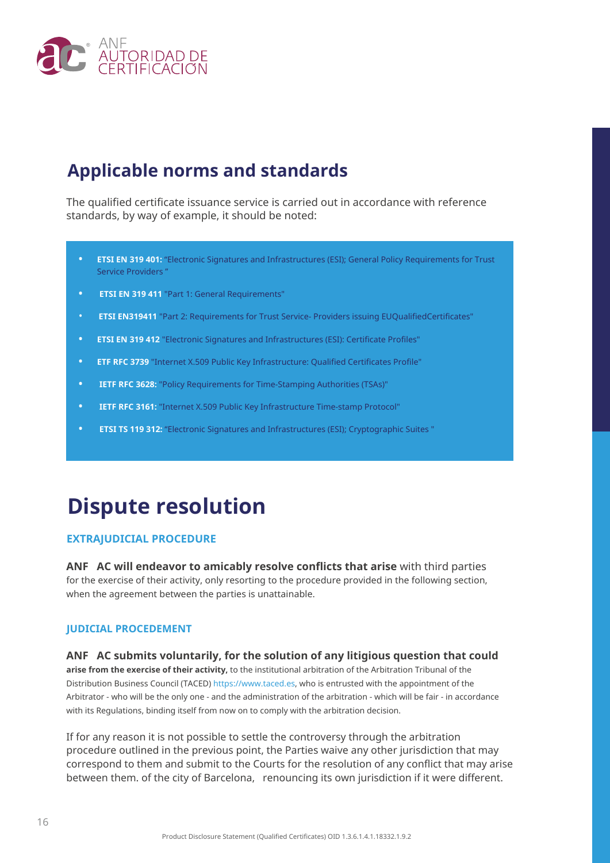

### **Applicable norms and standards**

The qualified certificate issuance service is carried out in accordance with reference standards, by way of example, it should be noted:

- **• ETSI EN 319 401:** "Electronic Signatures and Infrastructures (ESI); General Policy Requirements for Trust Service Providers "
- **• ETSI EN 319 411** "Part 1: General Requirements"
- **ETSI EN319411** "Part 2: Requirements for Trust Service- Providers issuing EUQualifiedCertificates"
- **ETSI EN 319 412** "Electronic Signatures and Infrastructures (ESI): Certificate Profiles" **•**
- **ETF RFC 3739** "Internet X.509 Public Key Infrastructure: Qualified Certificates Profile" **•**
- **IETF RFC 3628:** "Policy Requirements for Time-Stamping Authorities (TSAs)" **•**
- **IETF RFC 3161:** "Internet X.509 Public Key Infrastructure Time-stamp Protocol" **•**
- **ETSI TS 119 312:** "Electronic Signatures and Infrastructures (ESI); Cryptographic Suites " **•**

### **Dispute resolution**

### **EXTRAJUDICIAL PROCEDURE**

**ANF AC will endeavor to amicably resolve conflicts that arise** with third parties for the exercise of their activity, only resorting to the procedure provided in the following section, when the agreement between the parties is unattainable.

#### **JUDICIAL PROCEDEMENT**

#### **ANF AC submits voluntarily, for the solution of any litigious question that could**

**arise from the exercise of their activity,** to the institutional arbitration of the Arbitration Tribunal of the Distribution Business Council (TACED) https://www.taced.es, who is entrusted with the appointment of the Arbitrator - who will be the only one - and the administration of the arbitration - which will be fair - in accordance with its Regulations, binding itself from now on to comply with the arbitration decision.

If for any reason it is not possible to settle the controversy through the arbitration procedure outlined in the previous point, the Parties waive any other jurisdiction that may correspond to them and submit to the Courts for the resolution of any conflict that may arise between them. of the city of Barcelona, renouncing its own jurisdiction if it were different.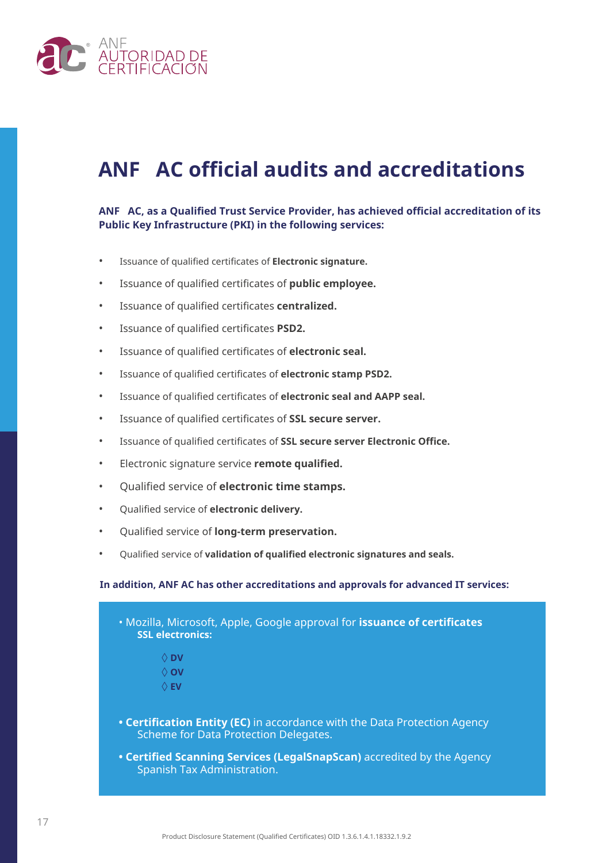

### **ANF AC official audits and accreditations**

### **ANF AC, as a Qualified Trust Service Provider, has achieved official accreditation of its Public Key Infrastructure (PKI) in the following services:**

- Issuance of qualified certificates of **Electronic signature.**
- Issuance of qualified certificates of **public employee.**
- Issuance of qualified certificates **centralized.**
- Issuance of qualified certificates **PSD2.**
- Issuance of qualified certificates of **electronic seal.**
- Issuance of qualified certificates of **electronic stamp PSD2.**
- Issuance of qualified certificates of **electronic seal and AAPP seal.**
- Issuance of qualified certificates of **SSL secure server.**
- Issuance of qualified certificates of **SSL secure server Electronic Office.**
- Electronic signature service **remote qualified.**
- Qualified service of **electronic time stamps.**
- Qualified service of **electronic delivery.**
- Qualified service of **long-term preservation.**
- Qualified service of **validation of qualified electronic signatures and seals.**

#### **In addition, ANF AC has other accreditations and approvals for advanced IT services:**

| . Mozilla, Microsoft, Apple, Google approval for issuance of certificates<br><b>SSL electronics:</b>                      |
|---------------------------------------------------------------------------------------------------------------------------|
| $\Diamond$ DV                                                                                                             |
| $\Diamond$ OV                                                                                                             |
| $\Diamond$ EV                                                                                                             |
| <b>• Certification Entity (EC)</b> in accordance with the Data Protection Agency<br>Scheme for Data Protection Delegates. |
| • Certified Scanning Services (LegalSnapScan) accredited by the Agency<br>Spanish Tax Administration.                     |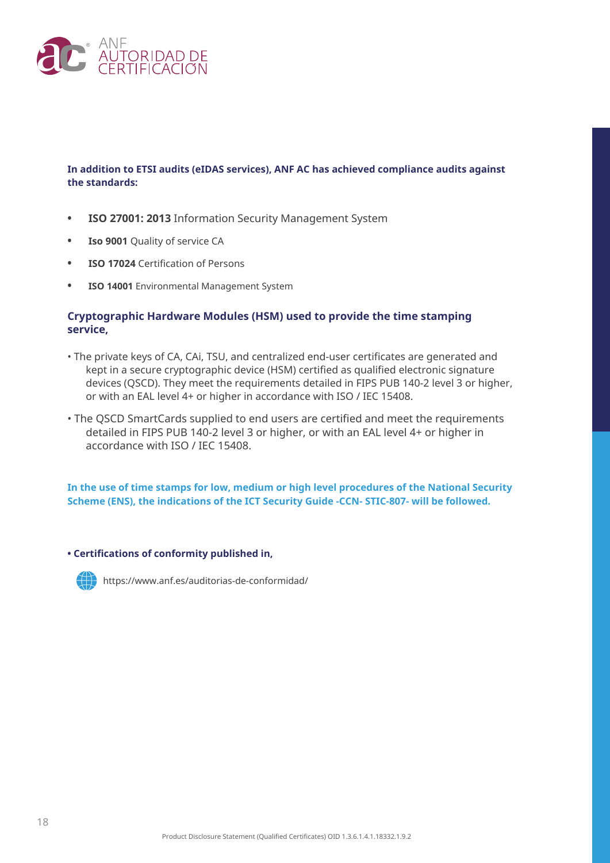

### **In addition to ETSI audits (eIDAS services), ANF AC has achieved compliance audits against the standards:**

- **• ISO 27001: 2013** Information Security Management System
- **• Iso 9001** Quality of service CA
- **• ISO 17024** Certification of Persons
- **• ISO 14001** Environmental Management System

### **Cryptographic Hardware Modules (HSM) used to provide the time stamping service,**

- The private keys of CA, CAi, TSU, and centralized end-user certificates are generated and kept in a secure cryptographic device (HSM) certified as qualified electronic signature devices (QSCD). They meet the requirements detailed in FIPS PUB 140-2 level 3 or higher, or with an EAL level 4+ or higher in accordance with ISO / IEC 15408.
- The QSCD SmartCards supplied to end users are certified and meet the requirements detailed in FIPS PUB 140-2 level 3 or higher, or with an EAL level 4+ or higher in accordance with ISO / IEC 15408.

**In the use of time stamps for low, medium or high level procedures of the National Security Scheme (ENS), the indications of the ICT Security Guide -CCN- STIC-807- will be followed.**

**• Certifications of conformity published in,**